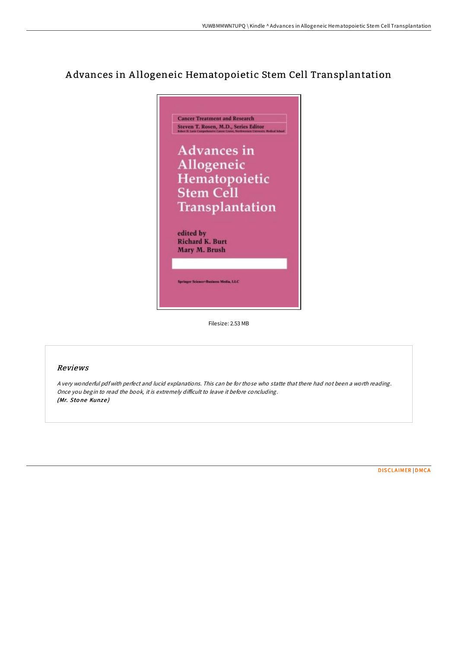# A dvances in A llogeneic Hematopoietic Stem Cell Transplantation



Filesize: 2.53 MB

## Reviews

<sup>A</sup> very wonderful pdf with perfect and lucid explanations. This can be for those who statte that there had not been <sup>a</sup> worth reading. Once you begin to read the book, it is extremely difficult to leave it before concluding. (Mr. Stone Kunze)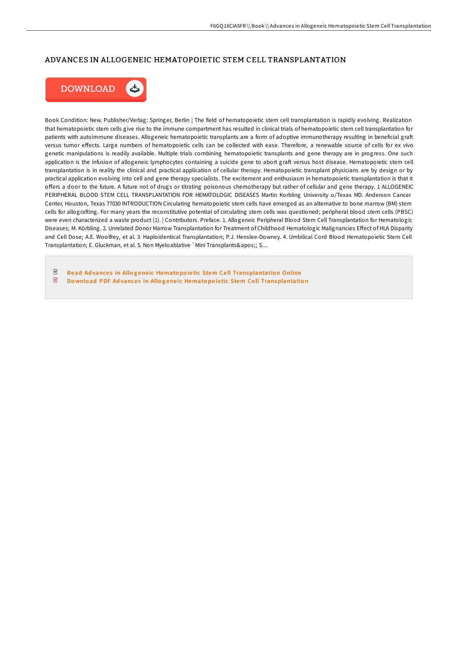### ADVANCES IN ALLOGENEIC HEMATOPOIETIC STEM CELL TRANSPLANTATION



Book Condition: New. Publisher/Verlag: Springer, Berlin | The field of hematopoietic stem cell transplantation is rapidly evolving. Realization that hematopoietic stem cells give rise to the immune compartment has resulted in clinical trials of hematopoietic stem cell transplantation for patients with autoimmune diseases. Allogeneic hematopoietic transplants are a form of adoptive immunotherapy resulting in beneficial graft versus tumor effects. Large numbers of hematopoietic cells can be collected with ease. Therefore, a renewable source of cells for ex vivo genetic manipulations is readily available. Multiple trials combining hematopoietic transplants and gene therapy are in progress. One such application is the infusion of allogeneic lymphocytes containing a suicide gene to abort graft versus host disease. Hematopoietic stem cell transplantation is in reality the clinical and practical application of cellular therapy. Hematopoietic transplant physicians are by design or by practical application evolving into cell and gene therapy specialists. The excitement and enthusiasm in hematopoietic transplantation is that it offers a door to the future. A future not of drugs or titrating poisonous chemotherapy but rather of cellular and gene therapy. 1 ALLOGENEIC PERIPHERAL BLOOD STEM CELL TRANSPLANTATION FOR HEMATOLOGIC DISEASES Martin Korbling University o/Texas MD. Anderson Cancer Center, Houston, Texas 77030 INTRODUCTION Circulating hematopoietic stem cells have emerged as an alternative to bone marrow (BM) stem cells for allografting. For many years the reconstitutive potential of circulating stem cells was questioned; peripheral blood stem cells (PBSC) were even characterized a waste product (1). | Contributors. Preface. 1. Allogeneic Peripheral Blood Stem Cell Transplantation for Hematologic Diseases; M. Körbling. 2. Unrelated Donor Marrow Transplantation for Treatment of Childhood Hematologic Malignancies Effect of HLA Disparity and Cell Dose; A.E. Woolfrey, et al. 3. Haploidentical Transplantation; P.J. Henslee-Downey. 4. Umbilical Cord Blood Hematopoietic Stem Cell Transplantation; E. Gluckman, et al. 5. Non Myeloablative `Mini Transplants'; S....

 $PDF$ Read Advances in Allogeneic Hematopoietic Stem Cell [Transplantatio](http://almighty24.tech/advances-in-allogeneic-hematopoietic-stem-cell-t.html)n Online  $\overline{\phantom{a}}^{\rm per}$ Download PDF Advances in Allogeneic Hematopoietic Stem Cell [Transplantatio](http://almighty24.tech/advances-in-allogeneic-hematopoietic-stem-cell-t.html)n